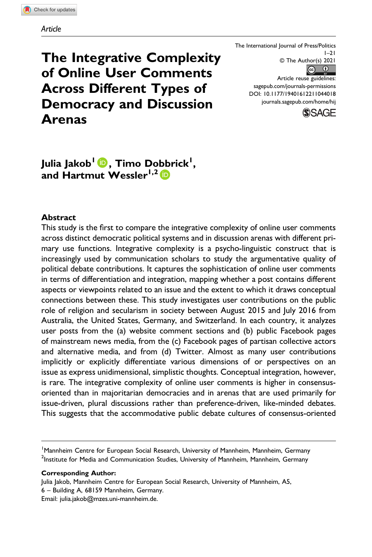# The Integrative Complexity of Online User Comments Across Different Types of Democracy and Discussion Arenas

The International Journal of Press/Politics  $1 - 21$ © The Author(s) 2021  $\circ$   $\circ$ Article reuse guidelines:

[sagepub.com/journals-permissions](https://us.sagepub.com/en-us/journals-permissions) DOI: 10.1177/19401612211044018 [journals.sagepub.com/home/hij](https://journals.sagepub.com/home/hij)



Julia Jakob<sup>l (D</sup>), Timo Do[bb](https://orcid.org/0000-0003-4216-5471)rick<sup>i</sup>, and Hartmut Wessler<sup>1,2</sup> D

#### Abstract

This study is the first to compare the integrative complexity of online user comments across distinct democratic political systems and in discussion arenas with different primary use functions. Integrative complexity is a psycho-linguistic construct that is increasingly used by communication scholars to study the argumentative quality of political debate contributions. It captures the sophistication of online user comments in terms of differentiation and integration, mapping whether a post contains different aspects or viewpoints related to an issue and the extent to which it draws conceptual connections between these. This study investigates user contributions on the public role of religion and secularism in society between August 2015 and July 2016 from Australia, the United States, Germany, and Switzerland. In each country, it analyzes user posts from the (a) website comment sections and (b) public Facebook pages of mainstream news media, from the (c) Facebook pages of partisan collective actors and alternative media, and from (d) Twitter. Almost as many user contributions implicitly or explicitly differentiate various dimensions of or perspectives on an issue as express unidimensional, simplistic thoughts. Conceptual integration, however, is rare. The integrative complexity of online user comments is higher in consensusoriented than in majoritarian democracies and in arenas that are used primarily for issue-driven, plural discussions rather than preference-driven, like-minded debates. This suggests that the accommodative public debate cultures of consensus-oriented

Corresponding Author:

Julia Jakob, Mannheim Centre for European Social Research, University of Mannheim, A5, 6 – Building A, 68159 Mannheim, Germany. Email: [julia.jakob@mzes.uni-mannheim.de.](mailto:julia.jakob@mzes.uni-mannheim.de)

<sup>&</sup>lt;sup>1</sup> Mannheim Centre for European Social Research, University of Mannheim, Mannheim, Germany  $^2$ Institute for Media and Communication Studies, University of Mannheim, Mannheim, Germany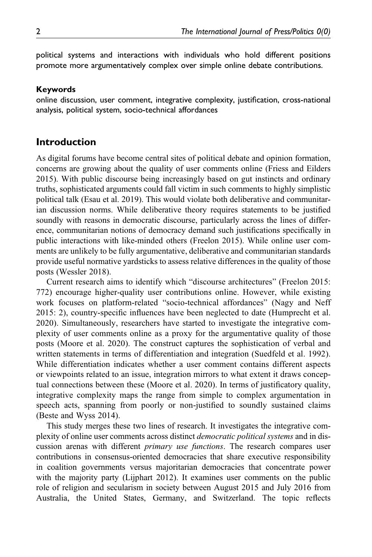political systems and interactions with individuals who hold different positions promote more argumentatively complex over simple online debate contributions.

#### Keywords

online discussion, user comment, integrative complexity, justification, cross-national analysis, political system, socio-technical affordances

#### Introduction

As digital forums have become central sites of political debate and opinion formation, concerns are growing about the quality of user comments online (Friess and Eilders 2015). With public discourse being increasingly based on gut instincts and ordinary truths, sophisticated arguments could fall victim in such comments to highly simplistic political talk (Esau et al. 2019). This would violate both deliberative and communitarian discussion norms. While deliberative theory requires statements to be justified soundly with reasons in democratic discourse, particularly across the lines of difference, communitarian notions of democracy demand such justifications specifically in public interactions with like-minded others (Freelon 2015). While online user comments are unlikely to be fully argumentative, deliberative and communitarian standards provide useful normative yardsticks to assess relative differences in the quality of those posts (Wessler 2018).

Current research aims to identify which "discourse architectures" (Freelon 2015: 772) encourage higher-quality user contributions online. However, while existing work focuses on platform-related "socio-technical affordances" (Nagy and Neff 2015: 2), country-specific influences have been neglected to date (Humprecht et al. 2020). Simultaneously, researchers have started to investigate the integrative complexity of user comments online as a proxy for the argumentative quality of those posts (Moore et al. 2020). The construct captures the sophistication of verbal and written statements in terms of differentiation and integration (Suedfeld et al. 1992). While differentiation indicates whether a user comment contains different aspects or viewpoints related to an issue, integration mirrors to what extent it draws conceptual connections between these (Moore et al. 2020). In terms of justificatory quality, integrative complexity maps the range from simple to complex argumentation in speech acts, spanning from poorly or non-justified to soundly sustained claims (Beste and Wyss 2014).

This study merges these two lines of research. It investigates the integrative complexity of online user comments across distinct *democratic political systems* and in discussion arenas with different primary use functions. The research compares user contributions in consensus-oriented democracies that share executive responsibility in coalition governments versus majoritarian democracies that concentrate power with the majority party (Lijphart 2012). It examines user comments on the public role of religion and secularism in society between August 2015 and July 2016 from Australia, the United States, Germany, and Switzerland. The topic reflects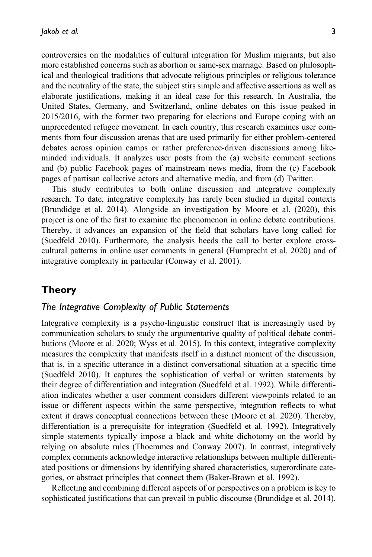controversies on the modalities of cultural integration for Muslim migrants, but also more established concerns such as abortion or same-sex marriage. Based on philosophical and theological traditions that advocate religious principles or religious tolerance and the neutrality of the state, the subject stirs simple and affective assertions as well as elaborate justifications, making it an ideal case for this research. In Australia, the United States, Germany, and Switzerland, online debates on this issue peaked in 2015/2016, with the former two preparing for elections and Europe coping with an unprecedented refugee movement. In each country, this research examines user comments from four discussion arenas that are used primarily for either problem-centered debates across opinion camps or rather preference-driven discussions among likeminded individuals. It analyzes user posts from the (a) website comment sections and (b) public Facebook pages of mainstream news media, from the (c) Facebook pages of partisan collective actors and alternative media, and from (d) Twitter.

This study contributes to both online discussion and integrative complexity research. To date, integrative complexity has rarely been studied in digital contexts (Brundidge et al. 2014). Alongside an investigation by Moore et al. (2020), this project is one of the first to examine the phenomenon in online debate contributions. Thereby, it advances an expansion of the field that scholars have long called for (Suedfeld 2010). Furthermore, the analysis heeds the call to better explore crosscultural patterns in online user comments in general (Humprecht et al. 2020) and of integrative complexity in particular (Conway et al. 2001).

### Theory

#### The Integrative Complexity of Public Statements

Integrative complexity is a psycho-linguistic construct that is increasingly used by communication scholars to study the argumentative quality of political debate contributions (Moore et al. 2020; Wyss et al. 2015). In this context, integrative complexity measures the complexity that manifests itself in a distinct moment of the discussion, that is, in a specific utterance in a distinct conversational situation at a specific time (Suedfeld 2010). It captures the sophistication of verbal or written statements by their degree of differentiation and integration (Suedfeld et al. 1992). While differentiation indicates whether a user comment considers different viewpoints related to an issue or different aspects within the same perspective, integration reflects to what extent it draws conceptual connections between these (Moore et al. 2020). Thereby, differentiation is a prerequisite for integration (Suedfeld et al. 1992). Integratively simple statements typically impose a black and white dichotomy on the world by relying on absolute rules (Thoemmes and Conway 2007). In contrast, integratively complex comments acknowledge interactive relationships between multiple differentiated positions or dimensions by identifying shared characteristics, superordinate categories, or abstract principles that connect them (Baker-Brown et al. 1992).

Reflecting and combining different aspects of or perspectives on a problem is key to sophisticated justifications that can prevail in public discourse (Brundidge et al. 2014).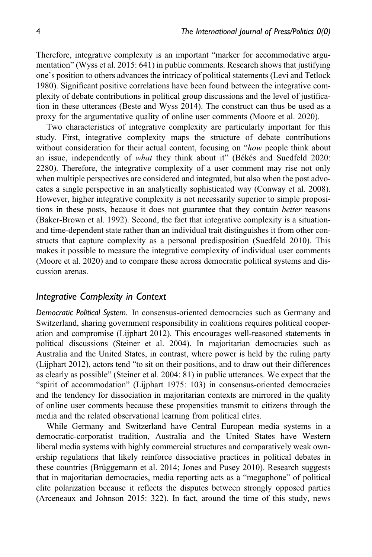Therefore, integrative complexity is an important "marker for accommodative argumentation" (Wyss et al. 2015: 641) in public comments. Research shows that justifying one's position to others advances the intricacy of political statements (Levi and Tetlock 1980). Significant positive correlations have been found between the integrative complexity of debate contributions in political group discussions and the level of justification in these utterances (Beste and Wyss 2014). The construct can thus be used as a proxy for the argumentative quality of online user comments (Moore et al. 2020).

Two characteristics of integrative complexity are particularly important for this study. First, integrative complexity maps the structure of debate contributions without consideration for their actual content, focusing on "how people think about an issue, independently of what they think about it" (Békés and Suedfeld 2020: 2280). Therefore, the integrative complexity of a user comment may rise not only when multiple perspectives are considered and integrated, but also when the post advocates a single perspective in an analytically sophisticated way (Conway et al. 2008). However, higher integrative complexity is not necessarily superior to simple propositions in these posts, because it does not guarantee that they contain better reasons (Baker-Brown et al. 1992). Second, the fact that integrative complexity is a situationand time-dependent state rather than an individual trait distinguishes it from other constructs that capture complexity as a personal predisposition (Suedfeld 2010). This makes it possible to measure the integrative complexity of individual user comments (Moore et al. 2020) and to compare these across democratic political systems and discussion arenas.

#### Integrative Complexity in Context

Democratic Political System. In consensus-oriented democracies such as Germany and Switzerland, sharing government responsibility in coalitions requires political cooperation and compromise (Lijphart 2012). This encourages well-reasoned statements in political discussions (Steiner et al. 2004). In majoritarian democracies such as Australia and the United States, in contrast, where power is held by the ruling party (Lijphart 2012), actors tend "to sit on their positions, and to draw out their differences as clearly as possible" (Steiner et al. 2004: 81) in public utterances. We expect that the "spirit of accommodation" (Lijphart 1975: 103) in consensus-oriented democracies and the tendency for dissociation in majoritarian contexts are mirrored in the quality of online user comments because these propensities transmit to citizens through the media and the related observational learning from political elites.

While Germany and Switzerland have Central European media systems in a democratic-corporatist tradition, Australia and the United States have Western liberal media systems with highly commercial structures and comparatively weak ownership regulations that likely reinforce dissociative practices in political debates in these countries (Brüggemann et al. 2014; Jones and Pusey 2010). Research suggests that in majoritarian democracies, media reporting acts as a "megaphone" of political elite polarization because it reflects the disputes between strongly opposed parties (Arceneaux and Johnson 2015: 322). In fact, around the time of this study, news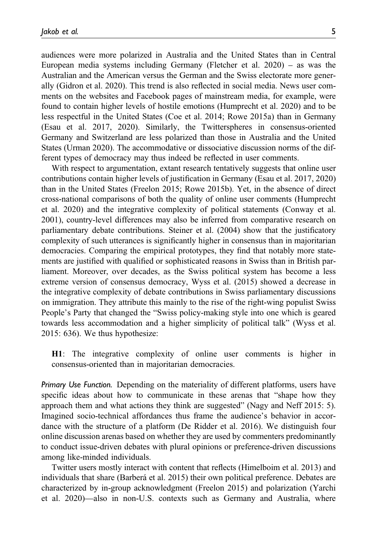audiences were more polarized in Australia and the United States than in Central European media systems including Germany (Fletcher et al. 2020) – as was the Australian and the American versus the German and the Swiss electorate more generally (Gidron et al. 2020). This trend is also reflected in social media. News user comments on the websites and Facebook pages of mainstream media, for example, were found to contain higher levels of hostile emotions (Humprecht et al. 2020) and to be less respectful in the United States (Coe et al. 2014; Rowe 2015a) than in Germany (Esau et al. 2017, 2020). Similarly, the Twitterspheres in consensus-oriented Germany and Switzerland are less polarized than those in Australia and the United States (Urman 2020). The accommodative or dissociative discussion norms of the different types of democracy may thus indeed be reflected in user comments.

With respect to argumentation, extant research tentatively suggests that online user contributions contain higher levels of justification in Germany (Esau et al. 2017, 2020) than in the United States (Freelon 2015; Rowe 2015b). Yet, in the absence of direct cross-national comparisons of both the quality of online user comments (Humprecht et al. 2020) and the integrative complexity of political statements (Conway et al. 2001), country-level differences may also be inferred from comparative research on parliamentary debate contributions. Steiner et al. (2004) show that the justificatory complexity of such utterances is significantly higher in consensus than in majoritarian democracies. Comparing the empirical prototypes, they find that notably more statements are justified with qualified or sophisticated reasons in Swiss than in British parliament. Moreover, over decades, as the Swiss political system has become a less extreme version of consensus democracy, Wyss et al. (2015) showed a decrease in the integrative complexity of debate contributions in Swiss parliamentary discussions on immigration. They attribute this mainly to the rise of the right-wing populist Swiss People's Party that changed the "Swiss policy-making style into one which is geared towards less accommodation and a higher simplicity of political talk" (Wyss et al. 2015: 636). We thus hypothesize:

H1: The integrative complexity of online user comments is higher in consensus-oriented than in majoritarian democracies.

Primary Use Function. Depending on the materiality of different platforms, users have specific ideas about how to communicate in these arenas that "shape how they approach them and what actions they think are suggested" (Nagy and Neff 2015: 5). Imagined socio-technical affordances thus frame the audience's behavior in accordance with the structure of a platform (De Ridder et al. 2016). We distinguish four online discussion arenas based on whether they are used by commenters predominantly to conduct issue-driven debates with plural opinions or preference-driven discussions among like-minded individuals.

Twitter users mostly interact with content that reflects (Himelboim et al. 2013) and individuals that share (Barberá et al. 2015) their own political preference. Debates are characterized by in-group acknowledgment (Freelon 2015) and polarization (Yarchi et al. 2020)—also in non-U.S. contexts such as Germany and Australia, where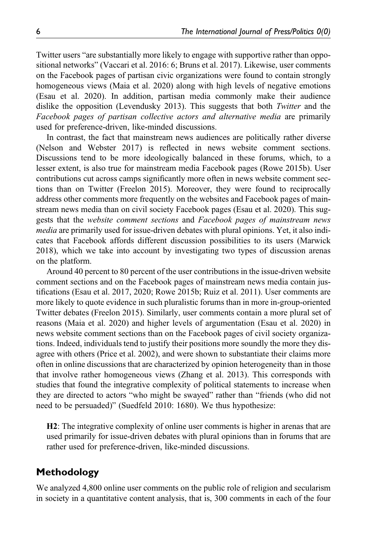Twitter users "are substantially more likely to engage with supportive rather than oppositional networks" (Vaccari et al. 2016: 6; Bruns et al. 2017). Likewise, user comments on the Facebook pages of partisan civic organizations were found to contain strongly homogeneous views (Maia et al. 2020) along with high levels of negative emotions (Esau et al. 2020). In addition, partisan media commonly make their audience dislike the opposition (Levendusky 2013). This suggests that both Twitter and the Facebook pages of partisan collective actors and alternative media are primarily used for preference-driven, like-minded discussions.

In contrast, the fact that mainstream news audiences are politically rather diverse (Nelson and Webster 2017) is reflected in news website comment sections. Discussions tend to be more ideologically balanced in these forums, which, to a lesser extent, is also true for mainstream media Facebook pages (Rowe 2015b). User contributions cut across camps significantly more often in news website comment sections than on Twitter (Freelon 2015). Moreover, they were found to reciprocally address other comments more frequently on the websites and Facebook pages of mainstream news media than on civil society Facebook pages (Esau et al. 2020). This suggests that the website comment sections and Facebook pages of mainstream news media are primarily used for issue-driven debates with plural opinions. Yet, it also indicates that Facebook affords different discussion possibilities to its users (Marwick 2018), which we take into account by investigating two types of discussion arenas on the platform.

Around 40 percent to 80 percent of the user contributions in the issue-driven website comment sections and on the Facebook pages of mainstream news media contain justifications (Esau et al. 2017, 2020; Rowe 2015b; Ruiz et al. 2011). User comments are more likely to quote evidence in such pluralistic forums than in more in-group-oriented Twitter debates (Freelon 2015). Similarly, user comments contain a more plural set of reasons (Maia et al. 2020) and higher levels of argumentation (Esau et al. 2020) in news website comment sections than on the Facebook pages of civil society organizations. Indeed, individuals tend to justify their positions more soundly the more they disagree with others (Price et al. 2002), and were shown to substantiate their claims more often in online discussions that are characterized by opinion heterogeneity than in those that involve rather homogeneous views (Zhang et al. 2013). This corresponds with studies that found the integrative complexity of political statements to increase when they are directed to actors "who might be swayed" rather than "friends (who did not need to be persuaded)" (Suedfeld 2010: 1680). We thus hypothesize:

H2: The integrative complexity of online user comments is higher in arenas that are used primarily for issue-driven debates with plural opinions than in forums that are rather used for preference-driven, like-minded discussions.

## Methodology

We analyzed 4,800 online user comments on the public role of religion and secularism in society in a quantitative content analysis, that is, 300 comments in each of the four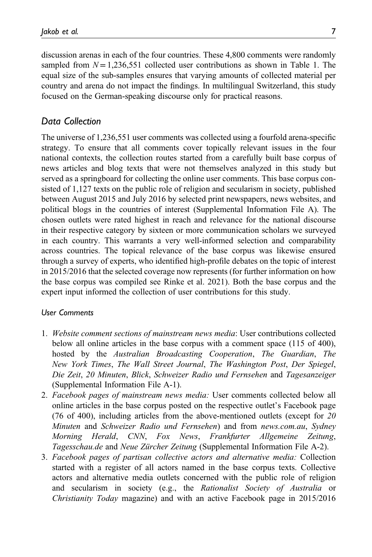discussion arenas in each of the four countries. These 4,800 comments were randomly sampled from  $N = 1,236,551$  collected user contributions as shown in Table 1. The equal size of the sub-samples ensures that varying amounts of collected material per country and arena do not impact the findings. In multilingual Switzerland, this study focused on the German-speaking discourse only for practical reasons.

#### Data Collection

The universe of 1,236,551 user comments was collected using a fourfold arena-specific strategy. To ensure that all comments cover topically relevant issues in the four national contexts, the collection routes started from a carefully built base corpus of news articles and blog texts that were not themselves analyzed in this study but served as a springboard for collecting the online user comments. This base corpus consisted of 1,127 texts on the public role of religion and secularism in society, published between August 2015 and July 2016 by selected print newspapers, news websites, and political blogs in the countries of interest ([Supplemental Information File A\)](https://journals.sagepub.com/doi/suppl/10.1177/19401612211044018). The chosen outlets were rated highest in reach and relevance for the national discourse in their respective category by sixteen or more communication scholars we surveyed in each country. This warrants a very well-informed selection and comparability across countries. The topical relevance of the base corpus was likewise ensured through a survey of experts, who identified high-profile debates on the topic of interest in 2015/2016 that the selected coverage now represents (for further information on how the base corpus was compiled see Rinke et al. 2021). Both the base corpus and the expert input informed the collection of user contributions for this study.

#### User Comments

- 1. Website comment sections of mainstream news media: User contributions collected below all online articles in the base corpus with a comment space (115 of 400), hosted by the Australian Broadcasting Cooperation, The Guardian, The New York Times, The Wall Street Journal, The Washington Post, Der Spiegel, Die Zeit, 20 Minuten, Blick, Schweizer Radio und Fernsehen and Tagesanzeiger ([Supplemental Information File A-1](https://journals.sagepub.com/doi/suppl/10.1177/19401612211044018)).
- 2. Facebook pages of mainstream news media: User comments collected below all online articles in the base corpus posted on the respective outlet's Facebook page (76 of 400), including articles from the above-mentioned outlets (except for 20 Minuten and Schweizer Radio und Fernsehen) and from news.com.au, Sydney Morning Herald, CNN, Fox News, Frankfurter Allgemeine Zeitung, Tagesschau.de and Neue Zürcher Zeitung ([Supplemental Information File A-2](https://journals.sagepub.com/doi/suppl/10.1177/19401612211044018)).
- 3. Facebook pages of partisan collective actors and alternative media: Collection started with a register of all actors named in the base corpus texts. Collective actors and alternative media outlets concerned with the public role of religion and secularism in society (e.g., the Rationalist Society of Australia or Christianity Today magazine) and with an active Facebook page in 2015/2016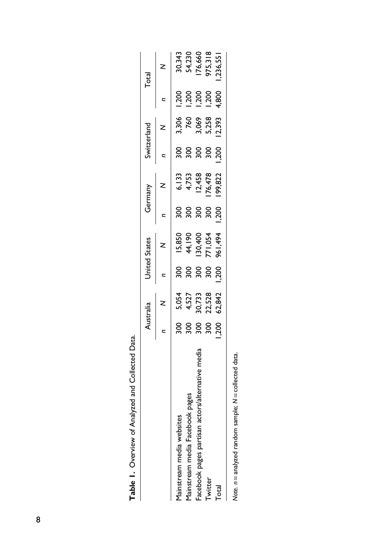|                                                                    |               | Australia      |       | <b>United States</b>                   |                   | Germany                                 |                   | Switzerland    |       | Total                                             |
|--------------------------------------------------------------------|---------------|----------------|-------|----------------------------------------|-------------------|-----------------------------------------|-------------------|----------------|-------|---------------------------------------------------|
|                                                                    |               |                |       |                                        |                   |                                         |                   |                |       |                                                   |
| lainstream media websites                                          | 300           |                | ន្ល   |                                        | ន្ល               |                                         |                   |                | 1,200 |                                                   |
| Mainstream media Facebook pages                                    | 300           | 5,054<br>4,527 | 300   | 15,850<br>44,190<br>130,400<br>771,054 | $\frac{8}{3}$     | 6, 133<br>4, 753<br>12, 458<br>176, 478 | $\frac{200}{300}$ | 3,306<br>760   | 1,200 |                                                   |
| acebook pages partisan actors/alternative media                    | $\frac{8}{3}$ | 80,733         | ន្ល   |                                        | $\frac{300}{200}$ |                                         | 300               |                | 1,200 |                                                   |
| <b>Twitter</b>                                                     | $\frac{8}{3}$ | 22,528         | 300   |                                        | 300               |                                         | 300               | 3,069<br>5,258 | 1,200 |                                                   |
| <b>Total</b>                                                       | 200           | 62,842         | 1,200 | 961,494                                | 002.1             | 199,822                                 | 1,200             | 2,393          | 4,800 | 30,343<br>54,230<br>176,660<br>975,318<br>236,551 |
| $\lambda$ ote. $n =$ analyzed random sample; $N =$ collected data. |               |                |       |                                        |                   |                                         |                   |                |       |                                                   |

| í<br>֧֖֧֧֧֧֧֧֚֚֚֚֚֚֚֚֚֚֚֚֚֚֚֚֚֚֚֚֚֚֚֚֚֚֚֚֚֝֝֝֝֬֝֝֬֝ |
|-----------------------------------------------------|
| í                                                   |
|                                                     |
| ļ                                                   |
| siemen down companie                                |
|                                                     |
| <b>תמקורת</b><br>í                                  |
| ċ                                                   |
|                                                     |

| í      |
|--------|
|        |
|        |
| l      |
|        |
| ı      |
|        |
|        |
| ı<br>í |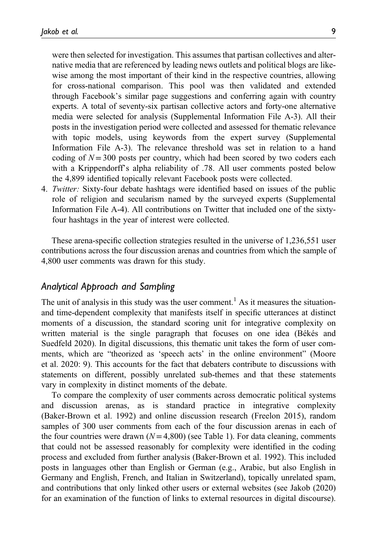were then selected for investigation. This assumes that partisan collectives and alternative media that are referenced by leading news outlets and political blogs are likewise among the most important of their kind in the respective countries, allowing for cross-national comparison. This pool was then validated and extended through Facebook's similar page suggestions and conferring again with country experts. A total of seventy-six partisan collective actors and forty-one alternative media were selected for analysis ([Supplemental Information File A-3\)](https://journals.sagepub.com/doi/suppl/10.1177/19401612211044018). All their posts in the investigation period were collected and assessed for thematic relevance with topic models, using keywords from the expert survey [\(Supplemental](https://journals.sagepub.com/doi/suppl/10.1177/19401612211044018) [Information File A-3](https://journals.sagepub.com/doi/suppl/10.1177/19401612211044018)). The relevance threshold was set in relation to a hand coding of  $N=300$  posts per country, which had been scored by two coders each with a Krippendorff's alpha reliability of .78. All user comments posted below the 4,899 identified topically relevant Facebook posts were collected.

4. Twitter: Sixty-four debate hashtags were identified based on issues of the public role of religion and secularism named by the surveyed experts [\(Supplemental](https://journals.sagepub.com/doi/suppl/10.1177/19401612211044018) [Information File A-4](https://journals.sagepub.com/doi/suppl/10.1177/19401612211044018)). All contributions on Twitter that included one of the sixtyfour hashtags in the year of interest were collected.

These arena-specific collection strategies resulted in the universe of 1,236,551 user contributions across the four discussion arenas and countries from which the sample of 4,800 user comments was drawn for this study.

#### Analytical Approach and Sampling

The unit of analysis in this study was the user comment.<sup>1</sup> As it measures the situationand time-dependent complexity that manifests itself in specific utterances at distinct moments of a discussion, the standard scoring unit for integrative complexity on written material is the single paragraph that focuses on one idea (Békés and Suedfeld 2020). In digital discussions, this thematic unit takes the form of user comments, which are "theorized as 'speech acts' in the online environment" (Moore et al. 2020: 9). This accounts for the fact that debaters contribute to discussions with statements on different, possibly unrelated sub-themes and that these statements vary in complexity in distinct moments of the debate.

To compare the complexity of user comments across democratic political systems and discussion arenas, as is standard practice in integrative complexity (Baker-Brown et al. 1992) and online discussion research (Freelon 2015), random samples of 300 user comments from each of the four discussion arenas in each of the four countries were drawn  $(N=4,800)$  (see Table 1). For data cleaning, comments that could not be assessed reasonably for complexity were identified in the coding process and excluded from further analysis (Baker-Brown et al. 1992). This included posts in languages other than English or German (e.g., Arabic, but also English in Germany and English, French, and Italian in Switzerland), topically unrelated spam, and contributions that only linked other users or external websites (see Jakob (2020) for an examination of the function of links to external resources in digital discourse).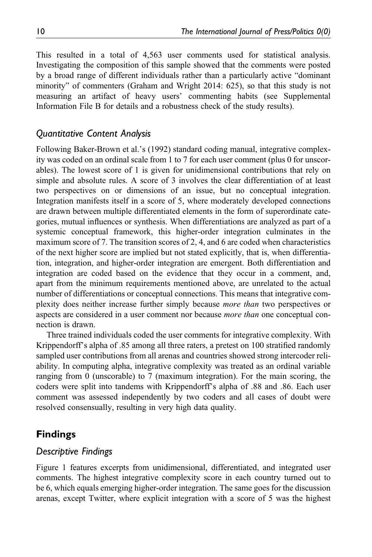This resulted in a total of 4,563 user comments used for statistical analysis. Investigating the composition of this sample showed that the comments were posted by a broad range of different individuals rather than a particularly active "dominant minority" of commenters (Graham and Wright 2014: 625), so that this study is not measuring an artifact of heavy users' commenting habits (see [Supplemental](https://journals.sagepub.com/doi/suppl/10.1177/19401612211044018) [Information File B](https://journals.sagepub.com/doi/suppl/10.1177/19401612211044018) for details and a robustness check of the study results).

### Quantitative Content Analysis

Following Baker-Brown et al.'s (1992) standard coding manual, integrative complexity was coded on an ordinal scale from 1 to 7 for each user comment (plus 0 for unscorables). The lowest score of 1 is given for unidimensional contributions that rely on simple and absolute rules. A score of 3 involves the clear differentiation of at least two perspectives on or dimensions of an issue, but no conceptual integration. Integration manifests itself in a score of 5, where moderately developed connections are drawn between multiple differentiated elements in the form of superordinate categories, mutual influences or synthesis. When differentiations are analyzed as part of a systemic conceptual framework, this higher-order integration culminates in the maximum score of 7. The transition scores of 2, 4, and 6 are coded when characteristics of the next higher score are implied but not stated explicitly, that is, when differentiation, integration, and higher-order integration are emergent. Both differentiation and integration are coded based on the evidence that they occur in a comment, and, apart from the minimum requirements mentioned above, are unrelated to the actual number of differentiations or conceptual connections. This means that integrative complexity does neither increase further simply because more than two perspectives or aspects are considered in a user comment nor because *more than* one conceptual connection is drawn.

Three trained individuals coded the user comments for integrative complexity. With Krippendorff's alpha of .85 among all three raters, a pretest on 100 stratified randomly sampled user contributions from all arenas and countries showed strong intercoder reliability. In computing alpha, integrative complexity was treated as an ordinal variable ranging from 0 (unscorable) to 7 (maximum integration). For the main scoring, the coders were split into tandems with Krippendorff's alpha of .88 and .86. Each user comment was assessed independently by two coders and all cases of doubt were resolved consensually, resulting in very high data quality.

## Findings

## Descriptive Findings

Figure 1 features excerpts from unidimensional, differentiated, and integrated user comments. The highest integrative complexity score in each country turned out to be 6, which equals emerging higher-order integration. The same goes for the discussion arenas, except Twitter, where explicit integration with a score of 5 was the highest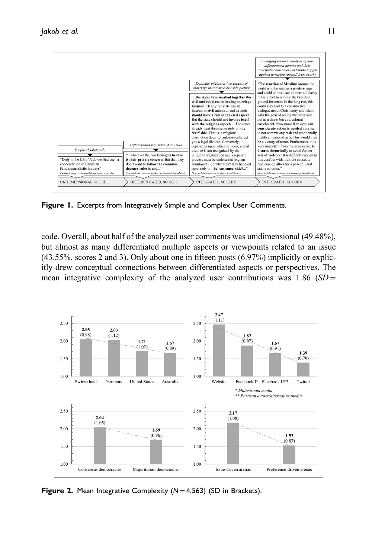

Figure 1. Excerpts from Integratively Simple and Complex User Comments.

code. Overall, about half of the analyzed user comments was unidimensional (49.48%), but almost as many differentiated multiple aspects or viewpoints related to an issue (43.55%, scores 2 and 3). Only about one in fifteen posts (6.97%) implicitly or explicitly drew conceptual connections between differentiated aspects or perspectives. The mean integrative complexity of the analyzed user contributions was 1.86  $(SD =$ 



**Figure 2.** Mean Integrative Complexity  $(N=4,563)$  (SD in Brackets).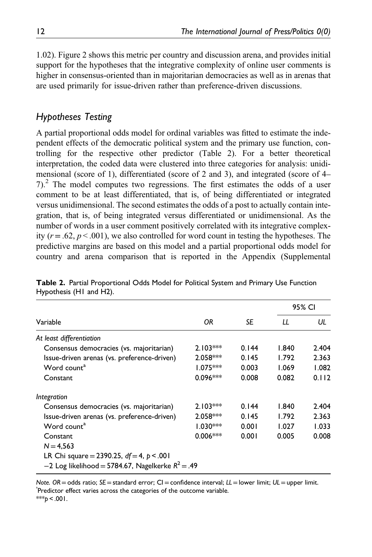1.02). Figure 2 shows this metric per country and discussion arena, and provides initial support for the hypotheses that the integrative complexity of online user comments is higher in consensus-oriented than in majoritarian democracies as well as in arenas that are used primarily for issue-driven rather than preference-driven discussions.

# Hypotheses Testing

A partial proportional odds model for ordinal variables was fitted to estimate the independent effects of the democratic political system and the primary use function, controlling for the respective other predictor (Table 2). For a better theoretical interpretation, the coded data were clustered into three categories for analysis: unidimensional (score of 1), differentiated (score of 2 and 3), and integrated (score of 4– 7).2 The model computes two regressions. The first estimates the odds of a user comment to be at least differentiated, that is, of being differentiated or integrated versus unidimensional. The second estimates the odds of a post to actually contain integration, that is, of being integrated versus differentiated or unidimensional. As the number of words in a user comment positively correlated with its integrative complexity ( $r = .62$ ,  $p < .001$ ), we also controlled for word count in testing the hypotheses. The predictive margins are based on this model and a partial proportional odds model for country and arena comparison that is reported in the Appendix [\(Supplemental](https://journals.sagepub.com/doi/suppl/10.1177/19401612211044018)

|                                                       |            |       | 95% CI |       |
|-------------------------------------------------------|------------|-------|--------|-------|
| Variable                                              | ΟR         | SE    | LL     | UL    |
| At least differentiation                              |            |       |        |       |
| Consensus democracies (vs. majoritarian)              | $2.103***$ | 0.144 | 1.840  | 2.404 |
| Issue-driven arenas (vs. preference-driven)           | $2.058***$ | 0.145 | 1.792  | 2.363 |
| Word count <sup>a</sup>                               | $1.075***$ | 0.003 | 1.069  | 1.082 |
| Constant                                              | $0.096***$ | 0.008 | 0.082  | 0.112 |
| Integration                                           |            |       |        |       |
| Consensus democracies (vs. majoritarian)              | $2.103***$ | 0.144 | 1.840  | 2.404 |
| Issue-driven arenas (vs. preference-driven)           | $2.058***$ | 0.145 | 1.792  | 2.363 |
| Word count <sup>a</sup>                               | $1.030***$ | 0.001 | 1.027  | 1.033 |
| Constant                                              | $0.006***$ | 0.001 | 0.005  | 0.008 |
| $N = 4,563$                                           |            |       |        |       |
| LR Chi square = 2390.25, $df = 4$ , $p < .001$        |            |       |        |       |
| $-2$ Log likelihood = 5784.67, Nagelkerke $R^2 = .49$ |            |       |        |       |

Table 2. Partial Proportional Odds Model for Political System and Primary Use Function Hypothesis (H1 and H2).

Note. OR=odds ratio; SE=standard error; CI=confidence interval; LL=lower limit; UL=upper limit. Predictor effect varies across the categories of the outcome variable.

 $***p < .001$ .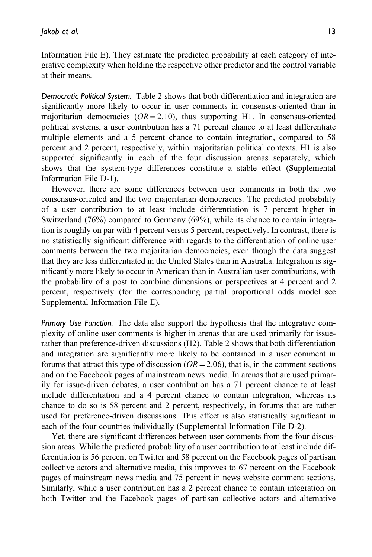[Information File E\)](https://journals.sagepub.com/doi/suppl/10.1177/19401612211044018). They estimate the predicted probability at each category of integrative complexity when holding the respective other predictor and the control variable at their means.

Democratic Political System. Table 2 shows that both differentiation and integration are significantly more likely to occur in user comments in consensus-oriented than in majoritarian democracies ( $OR = 2.10$ ), thus supporting H1. In consensus-oriented political systems, a user contribution has a 71 percent chance to at least differentiate multiple elements and a 5 percent chance to contain integration, compared to 58 percent and 2 percent, respectively, within majoritarian political contexts. H1 is also supported significantly in each of the four discussion arenas separately, which shows that the system-type differences constitute a stable effect [\(Supplemental](https://journals.sagepub.com/doi/suppl/10.1177/19401612211044018) [Information File D-1\)](https://journals.sagepub.com/doi/suppl/10.1177/19401612211044018).

However, there are some differences between user comments in both the two consensus-oriented and the two majoritarian democracies. The predicted probability of a user contribution to at least include differentiation is 7 percent higher in Switzerland (76%) compared to Germany (69%), while its chance to contain integration is roughly on par with 4 percent versus 5 percent, respectively. In contrast, there is no statistically significant difference with regards to the differentiation of online user comments between the two majoritarian democracies, even though the data suggest that they are less differentiated in the United States than in Australia. Integration is significantly more likely to occur in American than in Australian user contributions, with the probability of a post to combine dimensions or perspectives at 4 percent and 2 percent, respectively (for the corresponding partial proportional odds model see [Supplemental Information File E](https://journals.sagepub.com/doi/suppl/10.1177/19401612211044018)).

Primary Use Function. The data also support the hypothesis that the integrative complexity of online user comments is higher in arenas that are used primarily for issuerather than preference-driven discussions (H2). Table 2 shows that both differentiation and integration are significantly more likely to be contained in a user comment in forums that attract this type of discussion ( $OR = 2.06$ ), that is, in the comment sections and on the Facebook pages of mainstream news media. In arenas that are used primarily for issue-driven debates, a user contribution has a 71 percent chance to at least include differentiation and a 4 percent chance to contain integration, whereas its chance to do so is 58 percent and 2 percent, respectively, in forums that are rather used for preference-driven discussions. This effect is also statistically significant in each of the four countries individually [\(Supplemental Information File D-2\)](https://journals.sagepub.com/doi/suppl/10.1177/19401612211044018).

Yet, there are significant differences between user comments from the four discussion areas. While the predicted probability of a user contribution to at least include differentiation is 56 percent on Twitter and 58 percent on the Facebook pages of partisan collective actors and alternative media, this improves to 67 percent on the Facebook pages of mainstream news media and 75 percent in news website comment sections. Similarly, while a user contribution has a 2 percent chance to contain integration on both Twitter and the Facebook pages of partisan collective actors and alternative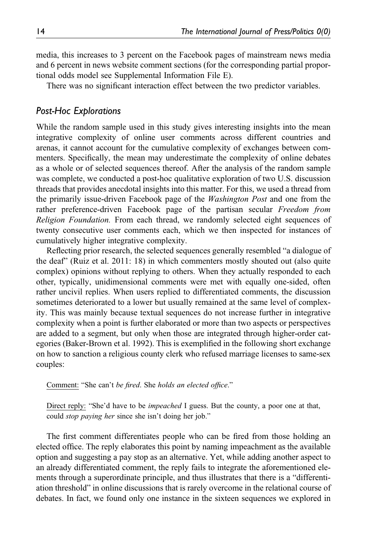media, this increases to 3 percent on the Facebook pages of mainstream news media and 6 percent in news website comment sections (for the corresponding partial proportional odds model see [Supplemental Information File E\)](https://journals.sagepub.com/doi/suppl/10.1177/19401612211044018).

There was no significant interaction effect between the two predictor variables.

## Post-Hoc Explorations

While the random sample used in this study gives interesting insights into the mean integrative complexity of online user comments across different countries and arenas, it cannot account for the cumulative complexity of exchanges between commenters. Specifically, the mean may underestimate the complexity of online debates as a whole or of selected sequences thereof. After the analysis of the random sample was complete, we conducted a post-hoc qualitative exploration of two U.S. discussion threads that provides anecdotal insights into this matter. For this, we used a thread from the primarily issue-driven Facebook page of the *Washington Post* and one from the rather preference-driven Facebook page of the partisan secular Freedom from Religion Foundation. From each thread, we randomly selected eight sequences of twenty consecutive user comments each, which we then inspected for instances of cumulatively higher integrative complexity.

Reflecting prior research, the selected sequences generally resembled "a dialogue of the deaf" (Ruiz et al. 2011: 18) in which commenters mostly shouted out (also quite complex) opinions without replying to others. When they actually responded to each other, typically, unidimensional comments were met with equally one-sided, often rather uncivil replies. When users replied to differentiated comments, the discussion sometimes deteriorated to a lower but usually remained at the same level of complexity. This was mainly because textual sequences do not increase further in integrative complexity when a point is further elaborated or more than two aspects or perspectives are added to a segment, but only when those are integrated through higher-order categories (Baker-Brown et al. 1992). This is exemplified in the following short exchange on how to sanction a religious county clerk who refused marriage licenses to same-sex couples:

Comment: "She can't be fired. She holds an elected office."

Direct reply: "She'd have to be *impeached* I guess. But the county, a poor one at that, could stop paying her since she isn't doing her job."

The first comment differentiates people who can be fired from those holding an elected office. The reply elaborates this point by naming impeachment as the available option and suggesting a pay stop as an alternative. Yet, while adding another aspect to an already differentiated comment, the reply fails to integrate the aforementioned elements through a superordinate principle, and thus illustrates that there is a "differentiation threshold" in online discussions that is rarely overcome in the relational course of debates. In fact, we found only one instance in the sixteen sequences we explored in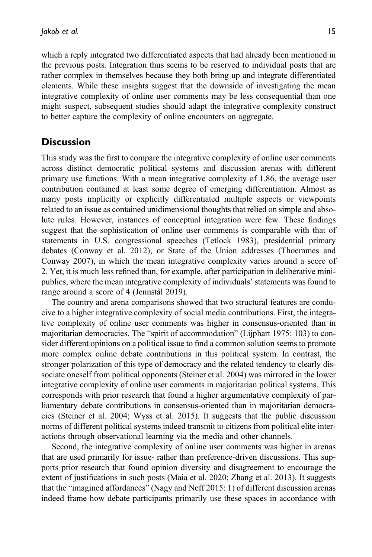which a reply integrated two differentiated aspects that had already been mentioned in the previous posts. Integration thus seems to be reserved to individual posts that are rather complex in themselves because they both bring up and integrate differentiated elements. While these insights suggest that the downside of investigating the mean integrative complexity of online user comments may be less consequential than one might suspect, subsequent studies should adapt the integrative complexity construct to better capture the complexity of online encounters on aggregate.

## **Discussion**

This study was the first to compare the integrative complexity of online user comments across distinct democratic political systems and discussion arenas with different primary use functions. With a mean integrative complexity of 1.86, the average user contribution contained at least some degree of emerging differentiation. Almost as many posts implicitly or explicitly differentiated multiple aspects or viewpoints related to an issue as contained unidimensional thoughts that relied on simple and absolute rules. However, instances of conceptual integration were few. These findings suggest that the sophistication of online user comments is comparable with that of statements in U.S. congressional speeches (Tetlock 1983), presidential primary debates (Conway et al. 2012), or State of the Union addresses (Thoemmes and Conway 2007), in which the mean integrative complexity varies around a score of 2. Yet, it is much less refined than, for example, after participation in deliberative minipublics, where the mean integrative complexity of individuals' statements was found to range around a score of 4 (Jennstål 2019).

The country and arena comparisons showed that two structural features are conducive to a higher integrative complexity of social media contributions. First, the integrative complexity of online user comments was higher in consensus-oriented than in majoritarian democracies. The "spirit of accommodation" (Lijphart 1975: 103) to consider different opinions on a political issue to find a common solution seems to promote more complex online debate contributions in this political system. In contrast, the stronger polarization of this type of democracy and the related tendency to clearly dissociate oneself from political opponents (Steiner et al. 2004) was mirrored in the lower integrative complexity of online user comments in majoritarian political systems. This corresponds with prior research that found a higher argumentative complexity of parliamentary debate contributions in consensus-oriented than in majoritarian democracies (Steiner et al. 2004; Wyss et al. 2015). It suggests that the public discussion norms of different political systems indeed transmit to citizens from political elite interactions through observational learning via the media and other channels.

Second, the integrative complexity of online user comments was higher in arenas that are used primarily for issue- rather than preference-driven discussions. This supports prior research that found opinion diversity and disagreement to encourage the extent of justifications in such posts (Maia et al. 2020; Zhang et al. 2013). It suggests that the "imagined affordances" (Nagy and Neff 2015: 1) of different discussion arenas indeed frame how debate participants primarily use these spaces in accordance with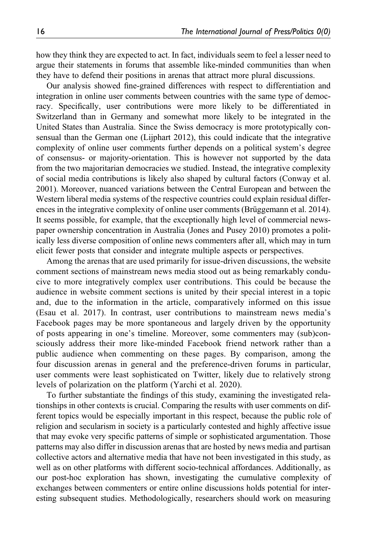how they think they are expected to act. In fact, individuals seem to feel a lesser need to argue their statements in forums that assemble like-minded communities than when they have to defend their positions in arenas that attract more plural discussions.

Our analysis showed fine-grained differences with respect to differentiation and integration in online user comments between countries with the same type of democracy. Specifically, user contributions were more likely to be differentiated in Switzerland than in Germany and somewhat more likely to be integrated in the United States than Australia. Since the Swiss democracy is more prototypically consensual than the German one (Lijphart 2012), this could indicate that the integrative complexity of online user comments further depends on a political system's degree of consensus- or majority-orientation. This is however not supported by the data from the two majoritarian democracies we studied. Instead, the integrative complexity of social media contributions is likely also shaped by cultural factors (Conway et al. 2001). Moreover, nuanced variations between the Central European and between the Western liberal media systems of the respective countries could explain residual differences in the integrative complexity of online user comments (Brüggemann et al. 2014). It seems possible, for example, that the exceptionally high level of commercial newspaper ownership concentration in Australia (Jones and Pusey 2010) promotes a politically less diverse composition of online news commenters after all, which may in turn elicit fewer posts that consider and integrate multiple aspects or perspectives.

Among the arenas that are used primarily for issue-driven discussions, the website comment sections of mainstream news media stood out as being remarkably conducive to more integratively complex user contributions. This could be because the audience in website comment sections is united by their special interest in a topic and, due to the information in the article, comparatively informed on this issue (Esau et al. 2017). In contrast, user contributions to mainstream news media's Facebook pages may be more spontaneous and largely driven by the opportunity of posts appearing in one's timeline. Moreover, some commenters may (sub)consciously address their more like-minded Facebook friend network rather than a public audience when commenting on these pages. By comparison, among the four discussion arenas in general and the preference-driven forums in particular, user comments were least sophisticated on Twitter, likely due to relatively strong levels of polarization on the platform (Yarchi et al. 2020).

To further substantiate the findings of this study, examining the investigated relationships in other contexts is crucial. Comparing the results with user comments on different topics would be especially important in this respect, because the public role of religion and secularism in society is a particularly contested and highly affective issue that may evoke very specific patterns of simple or sophisticated argumentation. Those patterns may also differ in discussion arenas that are hosted by news media and partisan collective actors and alternative media that have not been investigated in this study, as well as on other platforms with different socio-technical affordances. Additionally, as our post-hoc exploration has shown, investigating the cumulative complexity of exchanges between commenters or entire online discussions holds potential for interesting subsequent studies. Methodologically, researchers should work on measuring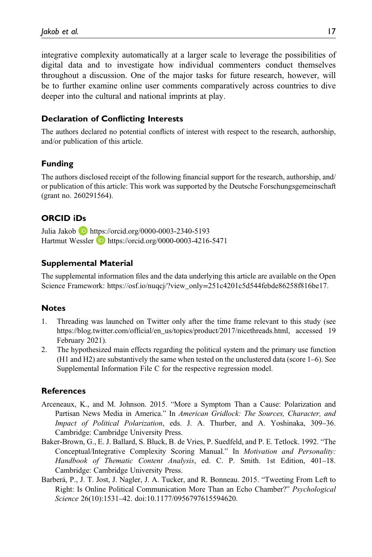integrative complexity automatically at a larger scale to leverage the possibilities of digital data and to investigate how individual commenters conduct themselves throughout a discussion. One of the major tasks for future research, however, will be to further examine online user comments comparatively across countries to dive deeper into the cultural and national imprints at play.

### Declaration of Conflicting Interests

The authors declared no potential conflicts of interest with respect to the research, authorship, and/or publication of this article.

### Funding

The authors disclosed receipt of the following financial support for the research, authorship, and/ or publication of this article: This work was supported by the Deutsche Forschungsgemeinschaft (grant no. 260291564).

## ORCID iDs

Julia Jakob <https://orcid.org/0000-0003-2340-5193> Hartmut Wessler **b** <https://orcid.org/0000-0003-4216-5471>

#### Supplemental Material

The supplemental information files and the data underlying this article are available on the Open Science Framework: https://osf.io/nuqcj/?view\_only=251c4201c5d544febde86258f816be17.

### **Notes**

- 1. Threading was launched on Twitter only after the time frame relevant to this study (see [https:/](https://blog.twitter.com/official/en_us/topics/product/2017/nicethreads.html)/blog.twitter.com/offi[cial/en\\_us/topics/product/2017/nicethreads.html,](https://blog.twitter.com/official/en_us/topics/product/2017/nicethreads.html) accessed 19 February 2021).
- 2. The hypothesized main effects regarding the political system and the primary use function (H1 and H2) are substantively the same when tested on the unclustered data (score 1–6). See [Supplemental Information File C](https://journals.sagepub.com/doi/suppl/10.1177/19401612211044018) for the respective regression model.

### **References**

- Arceneaux, K., and M. Johnson. 2015. "More a Symptom Than a Cause: Polarization and Partisan News Media in America." In American Gridlock: The Sources, Character, and Impact of Political Polarization, eds. J. A. Thurber, and A. Yoshinaka, 309–36. Cambridge: Cambridge University Press.
- Baker-Brown, G., E. J. Ballard, S. Bluck, B. de Vries, P. Suedfeld, and P. E. Tetlock. 1992. "The Conceptual/Integrative Complexity Scoring Manual." In Motivation and Personality: Handbook of Thematic Content Analysis, ed. C. P. Smith. 1st Edition, 401–18. Cambridge: Cambridge University Press.
- Barberá, P., J. T. Jost, J. Nagler, J. A. Tucker, and R. Bonneau. 2015. "Tweeting From Left to Right: Is Online Political Communication More Than an Echo Chamber?" Psychological Science 26(10):1531–42. doi[:10.1177/0956797615594620](https://doi.org/10.1177/0956797615594620).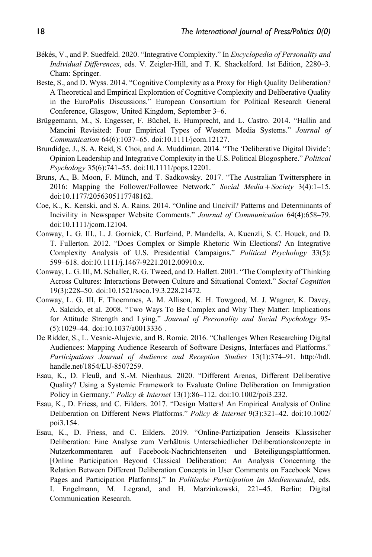- Békés, V., and P. Suedfeld. 2020. "Integrative Complexity." In Encyclopedia of Personality and Individual Differences, eds. V. Zeigler-Hill, and T. K. Shackelford. 1st Edition, 2280–3. Cham: Springer.
- Beste, S., and D. Wyss. 2014. "Cognitive Complexity as a Proxy for High Quality Deliberation? A Theoretical and Empirical Exploration of Cognitive Complexity and Deliberative Quality in the EuroPolis Discussions." European Consortium for Political Research General Conference, Glasgow, United Kingdom, September 3–6.
- Brüggemann, M., S. Engesser, F. Büchel, E. Humprecht, and L. Castro. 2014. "Hallin and Mancini Revisited: Four Empirical Types of Western Media Systems." Journal of Communication 64(6):1037–65. doi:[10.1111/jcom.12127](https://doi.org/10.1111/jcom.12127).
- Brundidge, J., S. A. Reid, S. Choi, and A. Muddiman. 2014. "The 'Deliberative Digital Divide': Opinion Leadership and Integrative Complexity in the U.S. Political Blogosphere." Political Psychology 35(6):741–55. doi[:10.1111/pops.12201.](https://doi.org/10.1111/pops.12201)
- Bruns, A., B. Moon, F. Münch, and T. Sadkowsky. 2017. "The Australian Twittersphere in 2016: Mapping the Follower/Followee Network." Social Media + Society 3(4):1–15. doi:[10.1177/2056305117748162](https://doi.org/10.1177/2056305117748162).
- Coe, K., K. Kenski, and S. A. Rains. 2014. "Online and Uncivil? Patterns and Determinants of Incivility in Newspaper Website Comments." Journal of Communication 64(4):658–79. doi:[10.1111/jcom.12104](https://doi.org/10.1111/jcom.12104).
- Conway, L. G. III., L. J. Gornick, C. Burfeind, P. Mandella, A. Kuenzli, S. C. Houck, and D. T. Fullerton. 2012. "Does Complex or Simple Rhetoric Win Elections? An Integrative Complexity Analysis of U.S. Presidential Campaigns." Political Psychology 33(5): 599–618. doi[:10.1111/j.1467-9221.2012.00910.x](https://doi.org/10.1111/j.1467-9221.2012.00910.x).
- Conway, L. G. III, M. Schaller, R. G. Tweed, and D. Hallett. 2001. "The Complexity of Thinking Across Cultures: Interactions Between Culture and Situational Context." Social Cognition 19(3):228–50. doi:[10.1521/soco.19.3.228.21472](https://doi.org/10.1521/soco.19.3.228.21472).
- Conway, L. G. III, F. Thoemmes, A. M. Allison, K. H. Towgood, M. J. Wagner, K. Davey, A. Salcido, et al. 2008. "Two Ways To Be Complex and Why They Matter: Implications for Attitude Strength and Lying." Journal of Personality and Social Psychology 95- (5):1029–44. doi[:10.1037/a0013336 .](https://doi.org/10.1037/a0013336 )
- De Ridder, S., L. Vesnic-Alujevic, and B. Romic. 2016. "Challenges When Researching Digital Audiences: Mapping Audience Research of Software Designs, Interfaces and Platforms." Participations Journal of Audience and Reception Studies 13(1):374–91. [http://hdl.](http://hdl.handle.net/1854/LU-8507259) [handle.net/1854/LU-8507259](http://hdl.handle.net/1854/LU-8507259).
- Esau, K., D. Fleuß, and S.-M. Nienhaus. 2020. "Different Arenas, Different Deliberative Quality? Using a Systemic Framework to Evaluate Online Deliberation on Immigration Policy in Germany." Policy & Internet 13(1):86–112. doi[:10.1002/poi3.232.](https://doi.org/10.1002/poi3.232)
- Esau, K., D. Friess, and C. Eilders. 2017. "Design Matters! An Empirical Analysis of Online Deliberation on Different News Platforms." Policy & Internet 9(3):321–42. doi[:10.1002/](https://doi.org/10.1002/poi3.154) [poi3.154.](https://doi.org/10.1002/poi3.154)
- Esau, K., D. Friess, and C. Eilders. 2019. "Online-Partizipation Jenseits Klassischer Deliberation: Eine Analyse zum Verhältnis Unterschiedlicher Deliberationskonzepte in Nutzerkommentaren auf Facebook-Nachrichtenseiten und Beteiligungsplattformen. [Online Participation Beyond Classical Deliberation: An Analysis Concerning the Relation Between Different Deliberation Concepts in User Comments on Facebook News Pages and Participation Platforms]." In Politische Partizipation im Medienwandel, eds. I. Engelmann, M. Legrand, and H. Marzinkowski, 221–45. Berlin: Digital Communication Research.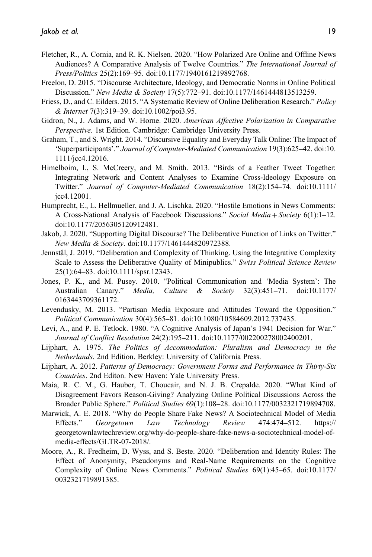- Fletcher, R., A. Cornia, and R. K. Nielsen. 2020. "How Polarized Are Online and Offline News Audiences? A Comparative Analysis of Twelve Countries." The International Journal of Press/Politics 25(2):169–95. doi[:10.1177/1940161219892768](https://doi.org/10.1177/1940161219892768).
- Freelon, D. 2015. "Discourse Architecture, Ideology, and Democratic Norms in Online Political Discussion." New Media & Society 17(5):772–91. doi:[10.1177/1461444813513259](https://doi.org/10.1177/1461444813513259).
- Friess, D., and C. Eilders. 2015. "A Systematic Review of Online Deliberation Research." Policy & Internet 7(3):319–39. doi[:10.1002/poi3.95](https://doi.org/10.1002/poi3.95).
- Gidron, N., J. Adams, and W. Horne. 2020. American Affective Polarization in Comparative Perspective. 1st Edition. Cambridge: Cambridge University Press.
- Graham, T., and S. Wright. 2014. "Discursive Equality and Everyday Talk Online: The Impact of 'Superparticipants'." Journal of Computer-Mediated Communication 19(3):625–42. doi:[10.](https://doi.org/10.1111/jcc4.12016) [1111/jcc4.12016.](https://doi.org/10.1111/jcc4.12016)
- Himelboim, I., S. McCreery, and M. Smith. 2013. "Birds of a Feather Tweet Together: Integrating Network and Content Analyses to Examine Cross-Ideology Exposure on Twitter." Journal of Computer-Mediated Communication 18(2):154–74. doi[:10.1111/](https://doi.org/10.1111/jcc4.12001) [jcc4.12001.](https://doi.org/10.1111/jcc4.12001)
- Humprecht, E., L. Hellmueller, and J. A. Lischka. 2020. "Hostile Emotions in News Comments: A Cross-National Analysis of Facebook Discussions." Social Media+Society 6(1):1–12. doi:[10.1177/2056305120912481](https://doi.org/10.1177/2056305120912481).
- Jakob, J. 2020. "Supporting Digital Discourse? The Deliberative Function of Links on Twitter." New Media & Society. doi[:10.1177/1461444820972388.](https://doi.org/10.1177/1461444820972388)
- Jennstål, J. 2019. "Deliberation and Complexity of Thinking. Using the Integrative Complexity Scale to Assess the Deliberative Quality of Minipublics." Swiss Political Science Review 25(1):64–83. doi[:10.1111/spsr.12343.](https://doi.org/10.1111/spsr.12343)
- Jones, P. K., and M. Pusey. 2010. "Political Communication and 'Media System': The Australian Canary." Media, Culture & Society 32(3):451–71. doi[:10.1177/](https://doi.org/10.1177/0163443709361172) [0163443709361172.](https://doi.org/10.1177/0163443709361172)
- Levendusky, M. 2013. "Partisan Media Exposure and Attitudes Toward the Opposition." Political Communication 30(4):565–81. doi:[10.1080/10584609.2012.737435.](https://doi.org/10.1080/10584609.2012.737435)
- Levi, A., and P. E. Tetlock. 1980. "A Cognitive Analysis of Japan's 1941 Decision for War." Journal of Conflict Resolution 24(2):195–211. doi:[10.1177/002200278002400201.](https://doi.org/10.1177/002200278002400201)
- Lijphart, A. 1975. The Politics of Accommodation: Pluralism and Democracy in the Netherlands. 2nd Edition. Berkley: University of California Press.
- Lijphart, A. 2012. Patterns of Democracy: Government Forms and Performance in Thirty-Six Countries. 2nd Editon. New Haven: Yale University Press.
- Maia, R. C. M., G. Hauber, T. Choucair, and N. J. B. Crepalde. 2020. "What Kind of Disagreement Favors Reason-Giving? Analyzing Online Political Discussions Across the Broader Public Sphere." Political Studies 69(1):108–28. doi:[10.1177/0032321719894708](https://doi.org/10.1177/0032321719894708).
- Marwick, A. E. 2018. "Why do People Share Fake News? A Sociotechnical Model of Media Effects." Georgetown Law Technology Review 474:474–512. [https://](https://georgetownlawtechreview.org/why-do-people-share-fake-news-a-sociotechnical-model-of-media-effects/GLTR-07-2018/) [georgetownlawtechreview.org/why-do-people-share-fake-news-a-sociotechnical-model-of](https://georgetownlawtechreview.org/why-do-people-share-fake-news-a-sociotechnical-model-of-media-effects/GLTR-07-2018/)[media-effects/GLTR-07-2018/](https://georgetownlawtechreview.org/why-do-people-share-fake-news-a-sociotechnical-model-of-media-effects/GLTR-07-2018/).
- Moore, A., R. Fredheim, D. Wyss, and S. Beste. 2020. "Deliberation and Identity Rules: The Effect of Anonymity, Pseudonyms and Real-Name Requirements on the Cognitive Complexity of Online News Comments." Political Studies 69(1):45–65. doi[:10.1177/](https://doi.org/10.1177/0032321719891385) [0032321719891385](https://doi.org/10.1177/0032321719891385).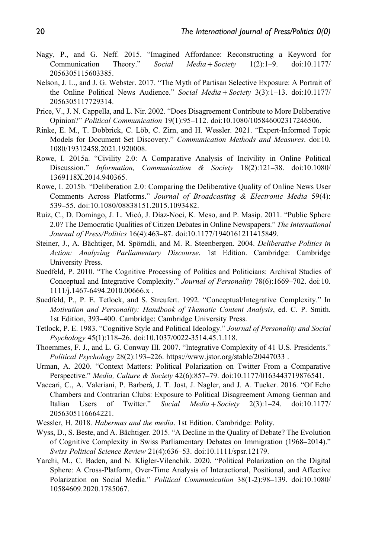- Nagy, P., and G. Neff. 2015. "Imagined Affordance: Reconstructing a Keyword for Communication Theory." Social Media+Society 1(2):1–9. doi[:10.1177/](https://doi.org/10.1177/2056305115603385) [2056305115603385.](https://doi.org/10.1177/2056305115603385)
- Nelson, J. L., and J. G. Webster. 2017. "The Myth of Partisan Selective Exposure: A Portrait of the Online Political News Audience." Social Media + Society 3(3):1-13. doi[:10.1177/](https://doi.org/10.1177/2056305117729314) [2056305117729314.](https://doi.org/10.1177/2056305117729314)
- Price, V., J. N. Cappella, and L. Nir. 2002. "Does Disagreement Contribute to More Deliberative Opinion?" Political Communication 19(1):95–112. doi[:10.1080/105846002317246506](https://doi.org/10.1080/105846002317246506).
- Rinke, E. M., T. Dobbrick, C. Löb, C. Zirn, and H. Wessler. 2021. "Expert-Informed Topic Models for Document Set Discovery." Communication Methods and Measures. doi:[10.](https://doi.org/10.1080/19312458.2021.1920008) [1080/19312458.2021.1920008](https://doi.org/10.1080/19312458.2021.1920008).
- Rowe, I. 2015a. "Civility 2.0: A Comparative Analysis of Incivility in Online Political Discussion." Information, Communication & Society 18(2):121–38. doi[:10.1080/](https://doi.org/10.1080/1369118X.2014.940365) [1369118X.2014.940365](https://doi.org/10.1080/1369118X.2014.940365).
- Rowe, I. 2015b. "Deliberation 2.0: Comparing the Deliberative Quality of Online News User Comments Across Platforms." Journal of Broadcasting & Electronic Media 59(4): 539–55. doi:[10.1080/08838151.2015.1093482.](https://doi.org/10.1080/08838151.2015.1093482)
- Ruiz, C., D. Domingo, J. L. Micó, J. Díaz-Noci, K. Meso, and P. Masip. 2011. "Public Sphere 2.0? The Democratic Qualities of Citizen Debates in Online Newspapers." The International Journal of Press/Politics 16(4):463–87. doi:[10.1177/1940161211415849](https://doi.org/10.1177/1940161211415849).
- Steiner, J., A. Bächtiger, M. Spörndli, and M. R. Steenbergen. 2004. Deliberative Politics in Action: Analyzing Parliamentary Discourse. 1st Edition. Cambridge: Cambridge University Press.
- Suedfeld, P. 2010. "The Cognitive Processing of Politics and Politicians: Archival Studies of Conceptual and Integrative Complexity." Journal of Personality 78(6):1669–702. doi:[10.](https://doi.org/10.1111/j.1467-6494.2010.00666.x ) [1111/j.1467-6494.2010.00666.x](https://doi.org/10.1111/j.1467-6494.2010.00666.x ) .
- Suedfeld, P., P. E. Tetlock, and S. Streufert. 1992. "Conceptual/Integrative Complexity." In Motivation and Personality: Handbook of Thematic Content Analysis, ed. C. P. Smith. 1st Edition, 393–400. Cambridge: Cambridge University Press.
- Tetlock, P. E. 1983. "Cognitive Style and Political Ideology." Journal of Personality and Social Psychology 45(1):118–26. doi[:10.1037/0022-3514.45.1.118.](https://doi.org/10.1037/0022-3514.45.1.118)
- Thoemmes, F. J., and L. G. Conway III. 2007. "Integrative Complexity of 41 U.S. Presidents." Political Psychology 28(2):193–226. [https://www.jstor.org/stable/20447033 .](https://www.jstor.org/stable/20447033 )
- Urman, A. 2020. "Context Matters: Political Polarization on Twitter From a Comparative Perspective." Media, Culture & Society 42(6):857–79. doi[:10.1177/0163443719876541.](https://doi.org/10.1177/0163443719876541)
- Vaccari, C., A. Valeriani, P. Barberá, J. T. Jost, J. Nagler, and J. A. Tucker. 2016. "Of Echo Chambers and Contrarian Clubs: Exposure to Political Disagreement Among German and Italian Users of Twitter." Social Media+Society 2(3):1–24. doi[:10.1177/](https://doi.org/10.1177/2056305116664221) [2056305116664221.](https://doi.org/10.1177/2056305116664221)
- Wessler, H. 2018. Habermas and the media. 1st Edition. Cambridge: Polity.
- Wyss, D., S. Beste, and A. Bächtiger. 2015. "A Decline in the Quality of Debate? The Evolution of Cognitive Complexity in Swiss Parliamentary Debates on Immigration (1968–2014)." Swiss Political Science Review 21(4):636–53. doi:[10.1111/spsr.12179](https://doi.org/10.1111/spsr.12179).
- Yarchi, M., C. Baden, and N. Kligler-Vilenchik. 2020. "Political Polarization on the Digital Sphere: A Cross-Platform, Over-Time Analysis of Interactional, Positional, and Affective Polarization on Social Media." Political Communication 38(1-2):98–139. doi[:10.1080/](https://doi.org/10.1080/10584609.2020.1785067) [10584609.2020.1785067.](https://doi.org/10.1080/10584609.2020.1785067)